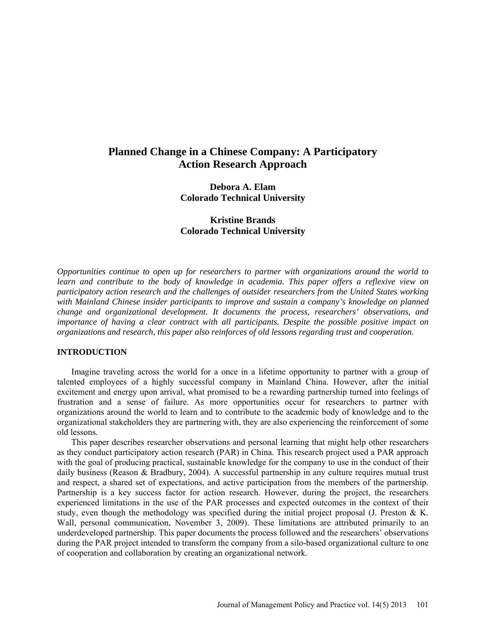# **Planned Change in a Chinese Company: A Participatory Action Research Approach**

**Debora A. Elam Colorado Technical University** 

**Kristine Brands Colorado Technical University**

*Opportunities continue to open up for researchers to partner with organizations around the world to learn and contribute to the body of knowledge in academia. This paper offers a reflexive view on participatory action research and the challenges of outsider researchers from the United States working with Mainland Chinese insider participants to improve and sustain a company's knowledge on planned change and organizational development. It documents the process, researchers' observations, and importance of having a clear contract with all participants. Despite the possible positive impact on organizations and research, this paper also reinforces of old lessons regarding trust and cooperation.*

## **INTRODUCTION**

Imagine traveling across the world for a once in a lifetime opportunity to partner with a group of talented employees of a highly successful company in Mainland China. However, after the initial excitement and energy upon arrival, what promised to be a rewarding partnership turned into feelings of frustration and a sense of failure. As more opportunities occur for researchers to partner with organizations around the world to learn and to contribute to the academic body of knowledge and to the organizational stakeholders they are partnering with, they are also experiencing the reinforcement of some old lessons.

This paper describes researcher observations and personal learning that might help other researchers as they conduct participatory action research (PAR) in China. This research project used a PAR approach with the goal of producing practical, sustainable knowledge for the company to use in the conduct of their daily business (Reason & Bradbury, 2004). A successful partnership in any culture requires mutual trust and respect, a shared set of expectations, and active participation from the members of the partnership. Partnership is a key success factor for action research. However, during the project, the researchers experienced limitations in the use of the PAR processes and expected outcomes in the context of their study, even though the methodology was specified during the initial project proposal (J. Preston & K. Wall, personal communication, November 3, 2009). These limitations are attributed primarily to an underdeveloped partnership. This paper documents the process followed and the researchers' observations during the PAR project intended to transform the company from a silo-based organizational culture to one of cooperation and collaboration by creating an organizational network.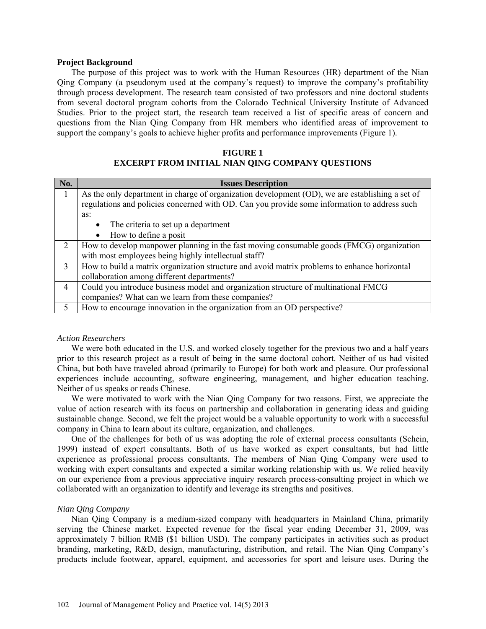#### **Project Background**

The purpose of this project was to work with the Human Resources (HR) department of the Nian Qing Company (a pseudonym used at the company's request) to improve the company's profitability through process development. The research team consisted of two professors and nine doctoral students from several doctoral program cohorts from the Colorado Technical University Institute of Advanced Studies. Prior to the project start, the research team received a list of specific areas of concern and questions from the Nian Qing Company from HR members who identified areas of improvement to support the company's goals to achieve higher profits and performance improvements (Figure 1).

# **FIGURE 1**

# **EXCERPT FROM INITIAL NIAN QING COMPANY QUESTIONS**

| No.            | <b>Issues Description</b>                                                                       |
|----------------|-------------------------------------------------------------------------------------------------|
|                | As the only department in charge of organization development (OD), we are establishing a set of |
|                | regulations and policies concerned with OD. Can you provide some information to address such    |
|                | as:                                                                                             |
|                | The criteria to set up a department<br>$\bullet$                                                |
|                | How to define a posit<br>$\bullet$                                                              |
| $\mathcal{D}$  | How to develop manpower planning in the fast moving consumable goods (FMCG) organization        |
|                | with most employees being highly intellectual staff?                                            |
| 3              | How to build a matrix organization structure and avoid matrix problems to enhance horizontal    |
|                | collaboration among different departments?                                                      |
| $\overline{4}$ | Could you introduce business model and organization structure of multinational FMCG             |
|                | companies? What can we learn from these companies?                                              |
| 5              | How to encourage innovation in the organization from an OD perspective?                         |

#### *Action Researchers*

We were both educated in the U.S. and worked closely together for the previous two and a half years prior to this research project as a result of being in the same doctoral cohort. Neither of us had visited China, but both have traveled abroad (primarily to Europe) for both work and pleasure. Our professional experiences include accounting, software engineering, management, and higher education teaching. Neither of us speaks or reads Chinese.

We were motivated to work with the Nian Qing Company for two reasons. First, we appreciate the value of action research with its focus on partnership and collaboration in generating ideas and guiding sustainable change. Second, we felt the project would be a valuable opportunity to work with a successful company in China to learn about its culture, organization, and challenges.

One of the challenges for both of us was adopting the role of external process consultants (Schein, 1999) instead of expert consultants. Both of us have worked as expert consultants, but had little experience as professional process consultants. The members of Nian Qing Company were used to working with expert consultants and expected a similar working relationship with us. We relied heavily on our experience from a previous appreciative inquiry research process-consulting project in which we collaborated with an organization to identify and leverage its strengths and positives.

# *Nian Qing Company*

Nian Qing Company is a medium-sized company with headquarters in Mainland China, primarily serving the Chinese market. Expected revenue for the fiscal year ending December 31, 2009, was approximately 7 billion RMB (\$1 billion USD). The company participates in activities such as product branding, marketing, R&D, design, manufacturing, distribution, and retail. The Nian Qing Company's products include footwear, apparel, equipment, and accessories for sport and leisure uses. During the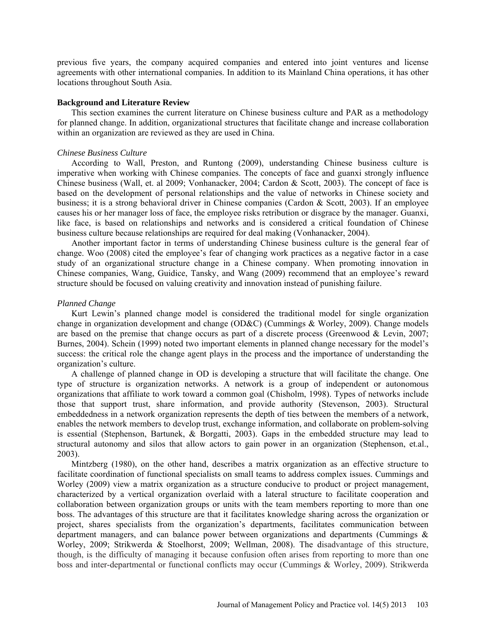previous five years, the company acquired companies and entered into joint ventures and license agreements with other international companies. In addition to its Mainland China operations, it has other locations throughout South Asia.

#### **Background and Literature Review**

This section examines the current literature on Chinese business culture and PAR as a methodology for planned change. In addition, organizational structures that facilitate change and increase collaboration within an organization are reviewed as they are used in China.

#### *Chinese Business Culture*

According to Wall, Preston, and Runtong (2009), understanding Chinese business culture is imperative when working with Chinese companies. The concepts of face and guanxi strongly influence Chinese business (Wall, et. al 2009; Vonhanacker, 2004; Cardon & Scott, 2003). The concept of face is based on the development of personal relationships and the value of networks in Chinese society and business; it is a strong behavioral driver in Chinese companies (Cardon & Scott, 2003). If an employee causes his or her manager loss of face, the employee risks retribution or disgrace by the manager. Guanxi, like face, is based on relationships and networks and is considered a critical foundation of Chinese business culture because relationships are required for deal making (Vonhanacker, 2004).

Another important factor in terms of understanding Chinese business culture is the general fear of change. Woo (2008) cited the employee's fear of changing work practices as a negative factor in a case study of an organizational structure change in a Chinese company. When promoting innovation in Chinese companies, Wang, Guidice, Tansky, and Wang (2009) recommend that an employee's reward structure should be focused on valuing creativity and innovation instead of punishing failure.

#### *Planned Change*

Kurt Lewin's planned change model is considered the traditional model for single organization change in organization development and change (OD&C) (Cummings & Worley, 2009). Change models are based on the premise that change occurs as part of a discrete process (Greenwood & Levin, 2007; Burnes, 2004). Schein (1999) noted two important elements in planned change necessary for the model's success: the critical role the change agent plays in the process and the importance of understanding the organization's culture.

A challenge of planned change in OD is developing a structure that will facilitate the change. One type of structure is organization networks. A network is a group of independent or autonomous organizations that affiliate to work toward a common goal (Chisholm, 1998). Types of networks include those that support trust, share information, and provide authority (Stevenson, 2003). Structural embeddedness in a network organization represents the depth of ties between the members of a network, enables the network members to develop trust, exchange information, and collaborate on problem-solving is essential (Stephenson, Bartunek, & Borgatti, 2003). Gaps in the embedded structure may lead to structural autonomy and silos that allow actors to gain power in an organization (Stephenson, et.al., 2003).

Mintzberg (1980), on the other hand, describes a matrix organization as an effective structure to facilitate coordination of functional specialists on small teams to address complex issues. Cummings and Worley (2009) view a matrix organization as a structure conducive to product or project management, characterized by a vertical organization overlaid with a lateral structure to facilitate cooperation and collaboration between organization groups or units with the team members reporting to more than one boss. The advantages of this structure are that it facilitates knowledge sharing across the organization or project, shares specialists from the organization's departments, facilitates communication between department managers, and can balance power between organizations and departments (Cummings & Worley, 2009; Strikwerda & Stoelhorst, 2009; Wellman, 2008). The disadvantage of this structure, though, is the difficulty of managing it because confusion often arises from reporting to more than one boss and inter-departmental or functional conflicts may occur (Cummings & Worley, 2009). Strikwerda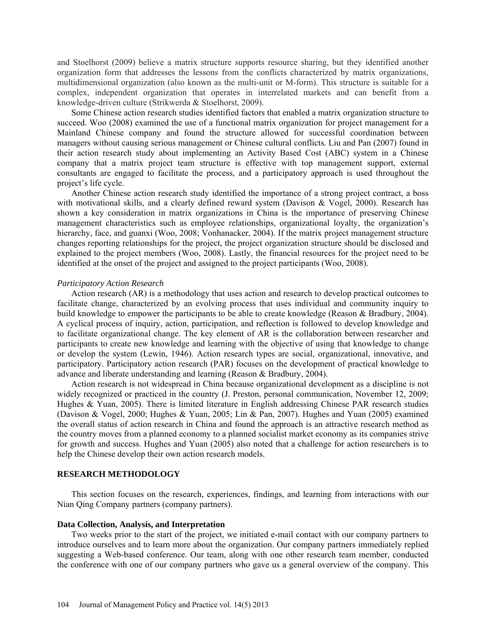and Stoelhorst (2009) believe a matrix structure supports resource sharing, but they identified another organization form that addresses the lessons from the conflicts characterized by matrix organizations, multidimensional organization (also known as the multi-unit or M-form). This structure is suitable for a complex, independent organization that operates in interrelated markets and can benefit from a knowledge-driven culture (Strikwerda & Stoelhorst, 2009).

Some Chinese action research studies identified factors that enabled a matrix organization structure to succeed. Woo (2008) examined the use of a functional matrix organization for project management for a Mainland Chinese company and found the structure allowed for successful coordination between managers without causing serious management or Chinese cultural conflicts*.* Liu and Pan (2007) found in their action research study about implementing an Activity Based Cost (ABC) system in a Chinese company that a matrix project team structure is effective with top management support, external consultants are engaged to facilitate the process, and a participatory approach is used throughout the project's life cycle.

Another Chinese action research study identified the importance of a strong project contract, a boss with motivational skills, and a clearly defined reward system (Davison  $& Vogel, 2000$ ). Research has shown a key consideration in matrix organizations in China is the importance of preserving Chinese management characteristics such as employee relationships, organizational loyalty, the organization's hierarchy, face, and guanxi (Woo, 2008; Vonhanacker, 2004). If the matrix project management structure changes reporting relationships for the project, the project organization structure should be disclosed and explained to the project members (Woo, 2008). Lastly, the financial resources for the project need to be identified at the onset of the project and assigned to the project participants (Woo, 2008).

#### *Participatory Action Research*

Action research (AR) is a methodology that uses action and research to develop practical outcomes to facilitate change, characterized by an evolving process that uses individual and community inquiry to build knowledge to empower the participants to be able to create knowledge (Reason & Bradbury, 2004). A cyclical process of inquiry, action, participation, and reflection is followed to develop knowledge and to facilitate organizational change. The key element of AR is the collaboration between researcher and participants to create new knowledge and learning with the objective of using that knowledge to change or develop the system (Lewin, 1946). Action research types are social, organizational, innovative, and participatory. Participatory action research (PAR) focuses on the development of practical knowledge to advance and liberate understanding and learning (Reason & Bradbury, 2004).

Action research is not widespread in China because organizational development as a discipline is not widely recognized or practiced in the country (J. Preston, personal communication, November 12, 2009; Hughes & Yuan, 2005). There is limited literature in English addressing Chinese PAR research studies (Davison & Vogel, 2000; Hughes & Yuan, 2005; Lin & Pan, 2007). Hughes and Yuan (2005) examined the overall status of action research in China and found the approach is an attractive research method as the country moves from a planned economy to a planned socialist market economy as its companies strive for growth and success. Hughes and Yuan (2005) also noted that a challenge for action researchers is to help the Chinese develop their own action research models.

#### **RESEARCH METHODOLOGY**

This section focuses on the research, experiences, findings, and learning from interactions with our Nian Qing Company partners (company partners).

#### **Data Collection, Analysis, and Interpretation**

Two weeks prior to the start of the project, we initiated e-mail contact with our company partners to introduce ourselves and to learn more about the organization. Our company partners immediately replied suggesting a Web-based conference. Our team, along with one other research team member, conducted the conference with one of our company partners who gave us a general overview of the company. This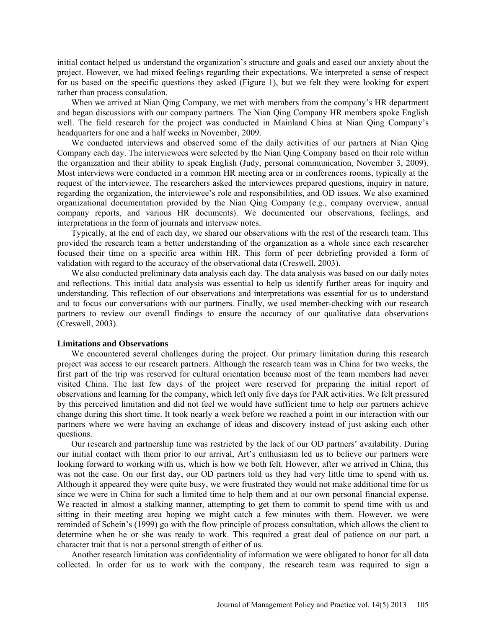initial contact helped us understand the organization's structure and goals and eased our anxiety about the project. However, we had mixed feelings regarding their expectations. We interpreted a sense of respect for us based on the specific questions they asked (Figure 1), but we felt they were looking for expert rather than process consulation.

When we arrived at Nian Qing Company, we met with members from the company's HR department and began discussions with our company partners. The Nian Qing Company HR members spoke English well. The field research for the project was conducted in Mainland China at Nian Qing Company's headquarters for one and a half weeks in November, 2009.

We conducted interviews and observed some of the daily activities of our partners at Nian Oing Company each day. The interviewees were selected by the Nian Qing Company based on their role within the organization and their ability to speak English (Judy, personal communication, November 3, 2009). Most interviews were conducted in a common HR meeting area or in conferences rooms, typically at the request of the interviewee. The researchers asked the interviewees prepared questions, inquiry in nature, regarding the organization, the interviewee's role and responsibilities, and OD issues. We also examined organizational documentation provided by the Nian Qing Company (e.g., company overview, annual company reports, and various HR documents). We documented our observations, feelings, and interpretations in the form of journals and interview notes.

Typically, at the end of each day, we shared our observations with the rest of the research team. This provided the research team a better understanding of the organization as a whole since each researcher focused their time on a specific area within HR. This form of peer debriefing provided a form of validation with regard to the accuracy of the observational data (Creswell, 2003).

We also conducted preliminary data analysis each day. The data analysis was based on our daily notes and reflections. This initial data analysis was essential to help us identify further areas for inquiry and understanding. This reflection of our observations and interpretations was essential for us to understand and to focus our conversations with our partners. Finally, we used member-checking with our research partners to review our overall findings to ensure the accuracy of our qualitative data observations (Creswell, 2003).

#### **Limitations and Observations**

We encountered several challenges during the project. Our primary limitation during this research project was access to our research partners. Although the research team was in China for two weeks, the first part of the trip was reserved for cultural orientation because most of the team members had never visited China. The last few days of the project were reserved for preparing the initial report of observations and learning for the company, which left only five days for PAR activities. We felt pressured by this perceived limitation and did not feel we would have sufficient time to help our partners achieve change during this short time. It took nearly a week before we reached a point in our interaction with our partners where we were having an exchange of ideas and discovery instead of just asking each other questions.

Our research and partnership time was restricted by the lack of our OD partners' availability. During our initial contact with them prior to our arrival, Art's enthusiasm led us to believe our partners were looking forward to working with us, which is how we both felt. However, after we arrived in China, this was not the case. On our first day, our OD partners told us they had very little time to spend with us. Although it appeared they were quite busy, we were frustrated they would not make additional time for us since we were in China for such a limited time to help them and at our own personal financial expense. We reacted in almost a stalking manner, attempting to get them to commit to spend time with us and sitting in their meeting area hoping we might catch a few minutes with them. However, we were reminded of Schein's (1999) go with the flow principle of process consultation, which allows the client to determine when he or she was ready to work. This required a great deal of patience on our part, a character trait that is not a personal strength of either of us.

Another research limitation was confidentiality of information we were obligated to honor for all data collected. In order for us to work with the company, the research team was required to sign a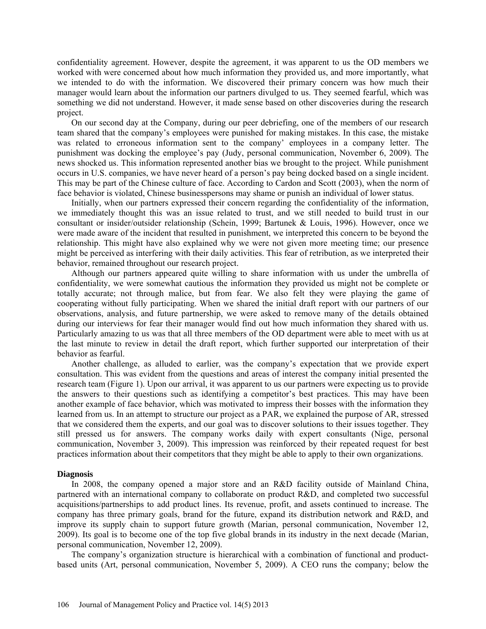confidentiality agreement. However, despite the agreement, it was apparent to us the OD members we worked with were concerned about how much information they provided us, and more importantly, what we intended to do with the information. We discovered their primary concern was how much their manager would learn about the information our partners divulged to us. They seemed fearful, which was something we did not understand. However, it made sense based on other discoveries during the research project.

On our second day at the Company, during our peer debriefing, one of the members of our research team shared that the company's employees were punished for making mistakes. In this case, the mistake was related to erroneous information sent to the company' employees in a company letter. The punishment was docking the employee's pay (Judy, personal communication, November 6, 2009). The news shocked us. This information represented another bias we brought to the project. While punishment occurs in U.S. companies, we have never heard of a person's pay being docked based on a single incident. This may be part of the Chinese culture of face. According to Cardon and Scott (2003), when the norm of face behavior is violated, Chinese businesspersons may shame or punish an individual of lower status.

Initially, when our partners expressed their concern regarding the confidentiality of the information, we immediately thought this was an issue related to trust, and we still needed to build trust in our consultant or insider/outsider relationship (Schein, 1999; Bartunek & Louis, 1996). However, once we were made aware of the incident that resulted in punishment, we interpreted this concern to be beyond the relationship. This might have also explained why we were not given more meeting time; our presence might be perceived as interfering with their daily activities. This fear of retribution, as we interpreted their behavior, remained throughout our research project.

Although our partners appeared quite willing to share information with us under the umbrella of confidentiality, we were somewhat cautious the information they provided us might not be complete or totally accurate; not through malice, but from fear. We also felt they were playing the game of cooperating without fully participating. When we shared the initial draft report with our partners of our observations, analysis, and future partnership, we were asked to remove many of the details obtained during our interviews for fear their manager would find out how much information they shared with us. Particularly amazing to us was that all three members of the OD department were able to meet with us at the last minute to review in detail the draft report, which further supported our interpretation of their behavior as fearful.

Another challenge, as alluded to earlier, was the company's expectation that we provide expert consultation. This was evident from the questions and areas of interest the company initial presented the research team (Figure 1). Upon our arrival, it was apparent to us our partners were expecting us to provide the answers to their questions such as identifying a competitor's best practices. This may have been another example of face behavior, which was motivated to impress their bosses with the information they learned from us. In an attempt to structure our project as a PAR, we explained the purpose of AR, stressed that we considered them the experts, and our goal was to discover solutions to their issues together. They still pressed us for answers. The company works daily with expert consultants (Nige, personal communication, November 3, 2009). This impression was reinforced by their repeated request for best practices information about their competitors that they might be able to apply to their own organizations.

#### **Diagnosis**

In 2008, the company opened a major store and an R&D facility outside of Mainland China, partnered with an international company to collaborate on product R&D, and completed two successful acquisitions/partnerships to add product lines. Its revenue, profit, and assets continued to increase. The company has three primary goals, brand for the future, expand its distribution network and R&D, and improve its supply chain to support future growth (Marian, personal communication, November 12, 2009). Its goal is to become one of the top five global brands in its industry in the next decade (Marian, personal communication, November 12, 2009).

The company's organization structure is hierarchical with a combination of functional and productbased units (Art, personal communication, November 5, 2009). A CEO runs the company; below the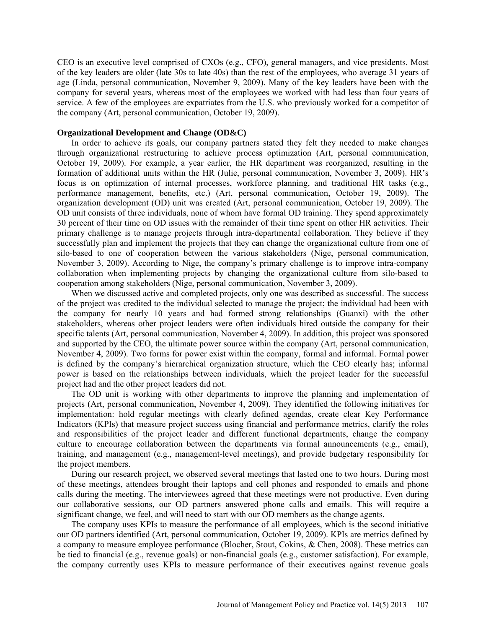CEO is an executive level comprised of CXOs (e.g., CFO), general managers, and vice presidents. Most of the key leaders are older (late 30s to late 40s) than the rest of the employees, who average 31 years of age (Linda, personal communication, November 9, 2009). Many of the key leaders have been with the company for several years, whereas most of the employees we worked with had less than four years of service. A few of the employees are expatriates from the U.S. who previously worked for a competitor of the company (Art, personal communication, October 19, 2009).

#### **Organizational Development and Change (OD&C)**

In order to achieve its goals, our company partners stated they felt they needed to make changes through organizational restructuring to achieve process optimization (Art, personal communication, October 19, 2009). For example, a year earlier, the HR department was reorganized, resulting in the formation of additional units within the HR (Julie, personal communication, November 3, 2009). HR's focus is on optimization of internal processes, workforce planning, and traditional HR tasks (e.g., performance management, benefits, etc.) (Art, personal communication, October 19, 2009). The organization development (OD) unit was created (Art, personal communication, October 19, 2009). The OD unit consists of three individuals, none of whom have formal OD training. They spend approximately 30 percent of their time on OD issues with the remainder of their time spent on other HR activities. Their primary challenge is to manage projects through intra-departmental collaboration. They believe if they successfully plan and implement the projects that they can change the organizational culture from one of silo-based to one of cooperation between the various stakeholders (Nige, personal communication, November 3, 2009). According to Nige, the company's primary challenge is to improve intra-company collaboration when implementing projects by changing the organizational culture from silo-based to cooperation among stakeholders (Nige, personal communication, November 3, 2009).

When we discussed active and completed projects, only one was described as successful. The success of the project was credited to the individual selected to manage the project; the individual had been with the company for nearly 10 years and had formed strong relationships (Guanxi) with the other stakeholders, whereas other project leaders were often individuals hired outside the company for their specific talents (Art, personal communication, November 4, 2009). In addition, this project was sponsored and supported by the CEO, the ultimate power source within the company (Art, personal communication, November 4, 2009). Two forms for power exist within the company, formal and informal. Formal power is defined by the company's hierarchical organization structure, which the CEO clearly has; informal power is based on the relationships between individuals, which the project leader for the successful project had and the other project leaders did not.

The OD unit is working with other departments to improve the planning and implementation of projects (Art, personal communication, November 4, 2009). They identified the following initiatives for implementation: hold regular meetings with clearly defined agendas, create clear Key Performance Indicators (KPIs) that measure project success using financial and performance metrics, clarify the roles and responsibilities of the project leader and different functional departments, change the company culture to encourage collaboration between the departments via formal announcements (e.g., email), training, and management (e.g., management-level meetings), and provide budgetary responsibility for the project members.

During our research project, we observed several meetings that lasted one to two hours. During most of these meetings, attendees brought their laptops and cell phones and responded to emails and phone calls during the meeting. The interviewees agreed that these meetings were not productive. Even during our collaborative sessions, our OD partners answered phone calls and emails. This will require a significant change, we feel, and will need to start with our OD members as the change agents.

The company uses KPIs to measure the performance of all employees, which is the second initiative our OD partners identified (Art, personal communication, October 19, 2009). KPIs are metrics defined by a company to measure employee performance (Blocher, Stout, Cokins, & Chen, 2008). These metrics can be tied to financial (e.g., revenue goals) or non-financial goals (e.g., customer satisfaction). For example, the company currently uses KPIs to measure performance of their executives against revenue goals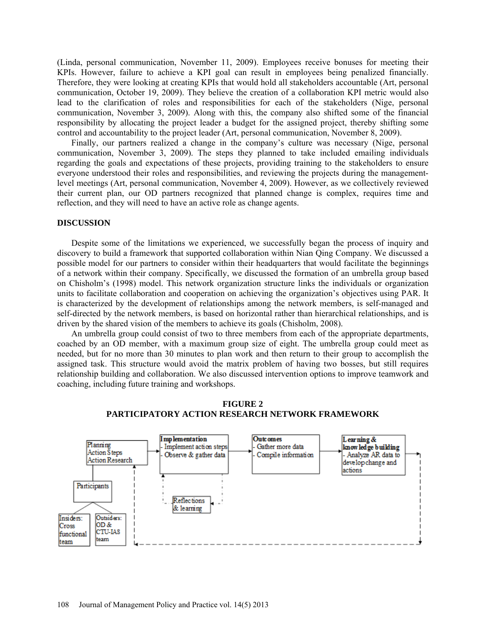(Linda, personal communication, November 11, 2009). Employees receive bonuses for meeting their KPIs. However, failure to achieve a KPI goal can result in employees being penalized financially. Therefore, they were looking at creating KPIs that would hold all stakeholders accountable (Art, personal communication, October 19, 2009). They believe the creation of a collaboration KPI metric would also lead to the clarification of roles and responsibilities for each of the stakeholders (Nige, personal communication, November 3, 2009). Along with this, the company also shifted some of the financial responsibility by allocating the project leader a budget for the assigned project, thereby shifting some control and accountability to the project leader (Art, personal communication, November 8, 2009).

Finally, our partners realized a change in the company's culture was necessary (Nige, personal communication, November 3, 2009). The steps they planned to take included emailing individuals regarding the goals and expectations of these projects, providing training to the stakeholders to ensure everyone understood their roles and responsibilities, and reviewing the projects during the managementlevel meetings (Art, personal communication, November 4, 2009). However, as we collectively reviewed their current plan, our OD partners recognized that planned change is complex, requires time and reflection, and they will need to have an active role as change agents.

### **DISCUSSION**

Despite some of the limitations we experienced, we successfully began the process of inquiry and discovery to build a framework that supported collaboration within Nian Qing Company. We discussed a possible model for our partners to consider within their headquarters that would facilitate the beginnings of a network within their company. Specifically, we discussed the formation of an umbrella group based on Chisholm's (1998) model. This network organization structure links the individuals or organization units to facilitate collaboration and cooperation on achieving the organization's objectives using PAR. It is characterized by the development of relationships among the network members, is self-managed and self-directed by the network members, is based on horizontal rather than hierarchical relationships, and is driven by the shared vision of the members to achieve its goals (Chisholm, 2008).

An umbrella group could consist of two to three members from each of the appropriate departments, coached by an OD member, with a maximum group size of eight. The umbrella group could meet as needed, but for no more than 30 minutes to plan work and then return to their group to accomplish the assigned task. This structure would avoid the matrix problem of having two bosses, but still requires relationship building and collaboration. We also discussed intervention options to improve teamwork and coaching, including future training and workshops.



#### **FIGURE 2 PARTICIPATORY ACTION RESEARCH NETWORK FRAMEWORK**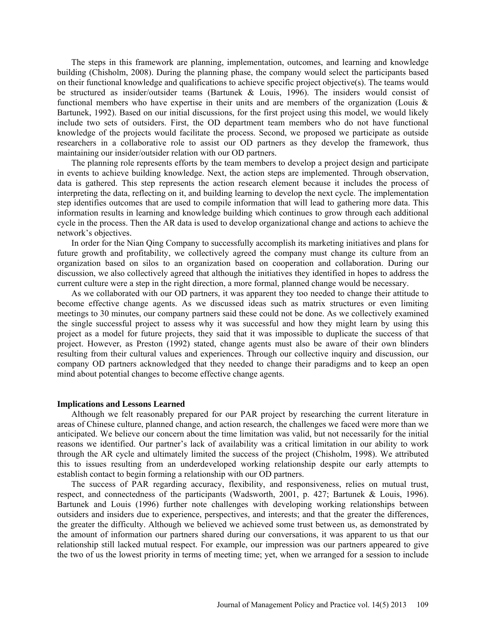The steps in this framework are planning, implementation, outcomes, and learning and knowledge building (Chisholm, 2008). During the planning phase, the company would select the participants based on their functional knowledge and qualifications to achieve specific project objective(s). The teams would be structured as insider/outsider teams (Bartunek & Louis, 1996). The insiders would consist of functional members who have expertise in their units and are members of the organization (Louis  $\&$ Bartunek, 1992). Based on our initial discussions, for the first project using this model, we would likely include two sets of outsiders. First, the OD department team members who do not have functional knowledge of the projects would facilitate the process. Second, we proposed we participate as outside researchers in a collaborative role to assist our OD partners as they develop the framework, thus maintaining our insider/outsider relation with our OD partners.

The planning role represents efforts by the team members to develop a project design and participate in events to achieve building knowledge. Next, the action steps are implemented. Through observation, data is gathered. This step represents the action research element because it includes the process of interpreting the data, reflecting on it, and building learning to develop the next cycle. The implementation step identifies outcomes that are used to compile information that will lead to gathering more data. This information results in learning and knowledge building which continues to grow through each additional cycle in the process. Then the AR data is used to develop organizational change and actions to achieve the network's objectives.

In order for the Nian Qing Company to successfully accomplish its marketing initiatives and plans for future growth and profitability, we collectively agreed the company must change its culture from an organization based on silos to an organization based on cooperation and collaboration. During our discussion, we also collectively agreed that although the initiatives they identified in hopes to address the current culture were a step in the right direction, a more formal, planned change would be necessary.

As we collaborated with our OD partners, it was apparent they too needed to change their attitude to become effective change agents. As we discussed ideas such as matrix structures or even limiting meetings to 30 minutes, our company partners said these could not be done. As we collectively examined the single successful project to assess why it was successful and how they might learn by using this project as a model for future projects, they said that it was impossible to duplicate the success of that project. However, as Preston (1992) stated, change agents must also be aware of their own blinders resulting from their cultural values and experiences. Through our collective inquiry and discussion, our company OD partners acknowledged that they needed to change their paradigms and to keep an open mind about potential changes to become effective change agents.

#### **Implications and Lessons Learned**

Although we felt reasonably prepared for our PAR project by researching the current literature in areas of Chinese culture, planned change, and action research, the challenges we faced were more than we anticipated. We believe our concern about the time limitation was valid, but not necessarily for the initial reasons we identified. Our partner's lack of availability was a critical limitation in our ability to work through the AR cycle and ultimately limited the success of the project (Chisholm, 1998). We attributed this to issues resulting from an underdeveloped working relationship despite our early attempts to establish contact to begin forming a relationship with our OD partners.

The success of PAR regarding accuracy, flexibility, and responsiveness, relies on mutual trust, respect, and connectedness of the participants (Wadsworth, 2001, p. 427; Bartunek & Louis, 1996). Bartunek and Louis (1996) further note challenges with developing working relationships between outsiders and insiders due to experience, perspectives, and interests; and that the greater the differences, the greater the difficulty. Although we believed we achieved some trust between us, as demonstrated by the amount of information our partners shared during our conversations, it was apparent to us that our relationship still lacked mutual respect. For example, our impression was our partners appeared to give the two of us the lowest priority in terms of meeting time; yet, when we arranged for a session to include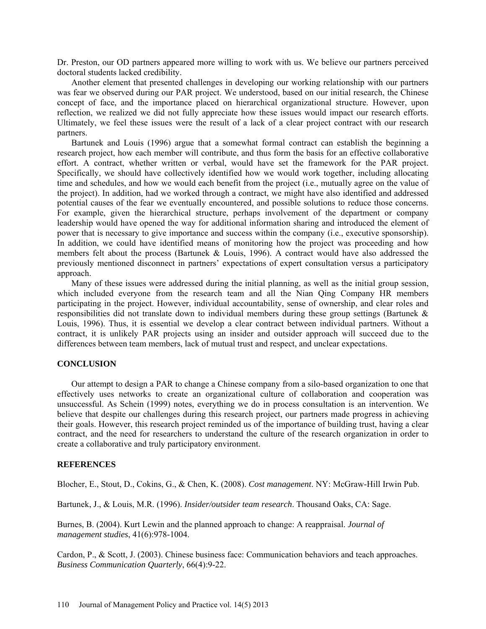Dr. Preston, our OD partners appeared more willing to work with us. We believe our partners perceived doctoral students lacked credibility.

Another element that presented challenges in developing our working relationship with our partners was fear we observed during our PAR project. We understood, based on our initial research, the Chinese concept of face, and the importance placed on hierarchical organizational structure. However, upon reflection, we realized we did not fully appreciate how these issues would impact our research efforts. Ultimately, we feel these issues were the result of a lack of a clear project contract with our research partners.

Bartunek and Louis (1996) argue that a somewhat formal contract can establish the beginning a research project, how each member will contribute, and thus form the basis for an effective collaborative effort. A contract, whether written or verbal, would have set the framework for the PAR project. Specifically, we should have collectively identified how we would work together, including allocating time and schedules, and how we would each benefit from the project (i.e., mutually agree on the value of the project). In addition, had we worked through a contract, we might have also identified and addressed potential causes of the fear we eventually encountered, and possible solutions to reduce those concerns. For example, given the hierarchical structure, perhaps involvement of the department or company leadership would have opened the way for additional information sharing and introduced the element of power that is necessary to give importance and success within the company (i.e., executive sponsorship). In addition, we could have identified means of monitoring how the project was proceeding and how members felt about the process (Bartunek & Louis, 1996). A contract would have also addressed the previously mentioned disconnect in partners' expectations of expert consultation versus a participatory approach.

Many of these issues were addressed during the initial planning, as well as the initial group session, which included everyone from the research team and all the Nian Oing Company HR members participating in the project. However, individual accountability, sense of ownership, and clear roles and responsibilities did not translate down to individual members during these group settings (Bartunek & Louis, 1996). Thus, it is essential we develop a clear contract between individual partners. Without a contract, it is unlikely PAR projects using an insider and outsider approach will succeed due to the differences between team members, lack of mutual trust and respect, and unclear expectations.

#### **CONCLUSION**

Our attempt to design a PAR to change a Chinese company from a silo-based organization to one that effectively uses networks to create an organizational culture of collaboration and cooperation was unsuccessful. As Schein (1999) notes, everything we do in process consultation is an intervention. We believe that despite our challenges during this research project, our partners made progress in achieving their goals. However, this research project reminded us of the importance of building trust, having a clear contract, and the need for researchers to understand the culture of the research organization in order to create a collaborative and truly participatory environment.

## **REFERENCES**

Blocher, E., Stout, D., Cokins, G., & Chen, K. (2008). *Cost management*. NY: McGraw-Hill Irwin Pub.

Bartunek, J., & Louis, M.R. (1996). *Insider/outsider team research*. Thousand Oaks, CA: Sage.

Burnes, B. (2004). Kurt Lewin and the planned approach to change: A reappraisal. *Journal of management studies*, 41(6):978-1004.

Cardon, P., & Scott, J. (2003). Chinese business face: Communication behaviors and teach approaches. *Business Communication Quarterly*, 66(4):9-22.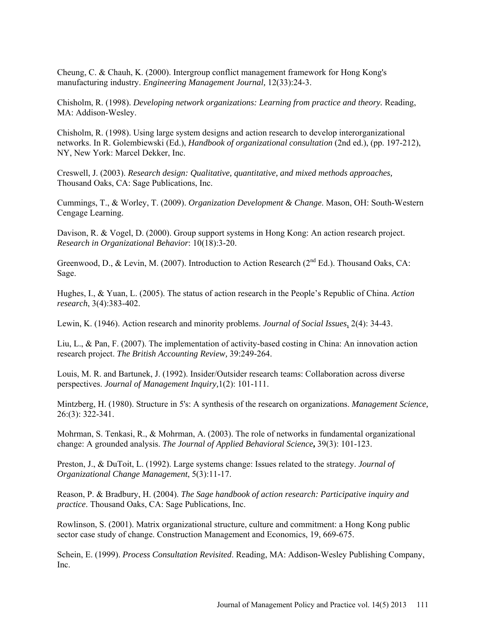Cheung, C. & Chauh, K. (2000). Intergroup conflict management framework for Hong Kong's manufacturing industry. *Engineering Management Journal,* 12(33):24-3.

Chisholm, R. (1998). *Developing network organizations: Learning from practice and theory.* Reading, MA: Addison-Wesley.

Chisholm, R. (1998). Using large system designs and action research to develop interorganizational networks. In R. Golembiewski (Ed.), *Handbook of organizational consultation* (2nd ed.), (pp. 197-212), NY, New York: Marcel Dekker, Inc.

Creswell, J. (2003). *Research design: Qualitative, quantitative, and mixed methods approaches,* Thousand Oaks, CA: Sage Publications, Inc.

Cummings, T., & Worley, T. (2009). *Organization Development & Change*. Mason, OH: South-Western Cengage Learning.

Davison, R. & Vogel, D. (2000). Group support systems in Hong Kong: An action research project. *Research in Organizational Behavior*: 10(18):3-20.

Greenwood, D., & Levin, M. (2007). Introduction to Action Research ( $2<sup>nd</sup> Ed$ .). Thousand Oaks, CA: Sage.

Hughes, I., & Yuan, L. (2005). The status of action research in the People's Republic of China. *Action research*, 3(4):383-402.

Lewin, K. (1946). Action research and minority problems. *Journal of Social Issues*, 2(4): 34-43.

Liu, L., & Pan, F. (2007). The implementation of activity-based costing in China: An innovation action research project. *The British Accounting Review,* 39:249-264.

Louis, M. R. and Bartunek, J. (1992). Insider/Outsider research teams: Collaboration across diverse perspectives. *Journal of Management Inquiry,*1(2): 101-111.

Mintzberg, H. (1980). Structure in 5's: A synthesis of the research on organizations. *Management Science,* 26:(3): 322-341.

Mohrman, S. Tenkasi, R., & Mohrman, A. (2003). The role of networks in fundamental organizational change: A grounded analysis. *The Journal of Applied Behavioral Science***,** 39(3): 101-123.

Preston, J., & DuToit, L. (1992). Large systems change: Issues related to the strategy. *Journal of Organizational Change Management*, 5(3):11-17.

Reason, P. & Bradbury, H. (2004). *The Sage handbook of action research: Participative inquiry and practice*. Thousand Oaks, CA: Sage Publications, Inc.

Rowlinson, S. (2001). Matrix organizational structure, culture and commitment: a Hong Kong public sector case study of change. Construction Management and Economics, 19, 669-675.

Schein, E. (1999). *Process Consultation Revisited*. Reading, MA: Addison-Wesley Publishing Company, Inc.